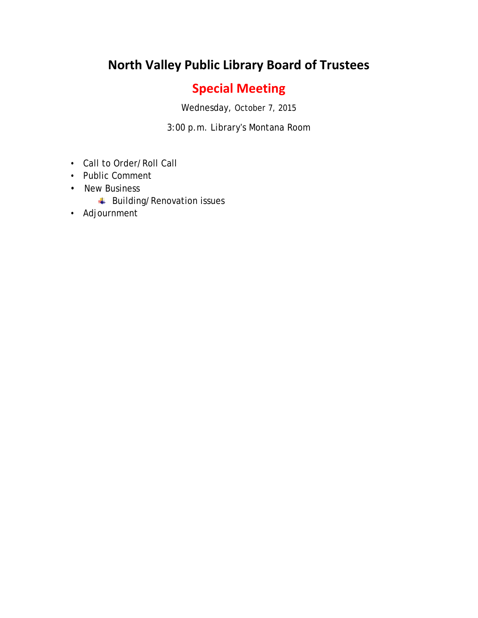## **North Valley Public Library Board of Trustees**

## **Special Meeting**

Wednesday, October 7, 2015

3:00 p.m. Library's Montana Room

- Call to Order/Roll Call
- Public Comment
- New Business
	- **Building/Renovation issues**
- Adjournment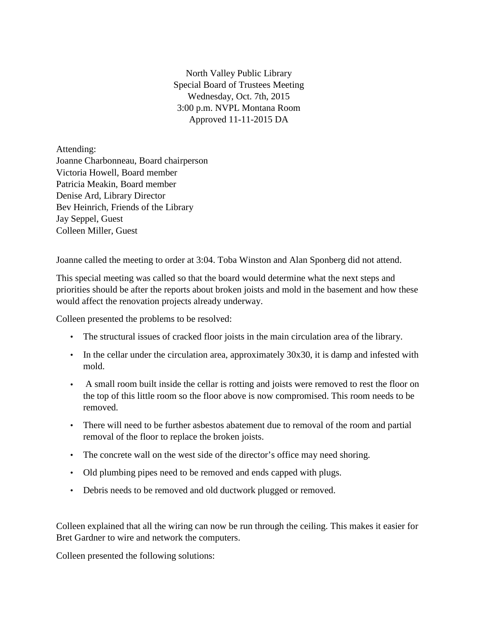North Valley Public Library Special Board of Trustees Meeting Wednesday, Oct. 7th, 2015 3:00 p.m. NVPL Montana Room Approved 11-11-2015 DA

Attending: Joanne Charbonneau, Board chairperson Victoria Howell, Board member Patricia Meakin, Board member Denise Ard, Library Director Bev Heinrich, Friends of the Library Jay Seppel, Guest Colleen Miller, Guest

Joanne called the meeting to order at 3:04. Toba Winston and Alan Sponberg did not attend.

This special meeting was called so that the board would determine what the next steps and priorities should be after the reports about broken joists and mold in the basement and how these would affect the renovation projects already underway.

Colleen presented the problems to be resolved:

- The structural issues of cracked floor joists in the main circulation area of the library.
- In the cellar under the circulation area, approximately 30x30, it is damp and infested with mold.
- A small room built inside the cellar is rotting and joists were removed to rest the floor on the top of this little room so the floor above is now compromised. This room needs to be removed.
- There will need to be further asbestos abatement due to removal of the room and partial removal of the floor to replace the broken joists.
- The concrete wall on the west side of the director's office may need shoring.
- Old plumbing pipes need to be removed and ends capped with plugs.
- Debris needs to be removed and old ductwork plugged or removed.

Colleen explained that all the wiring can now be run through the ceiling. This makes it easier for Bret Gardner to wire and network the computers.

Colleen presented the following solutions: